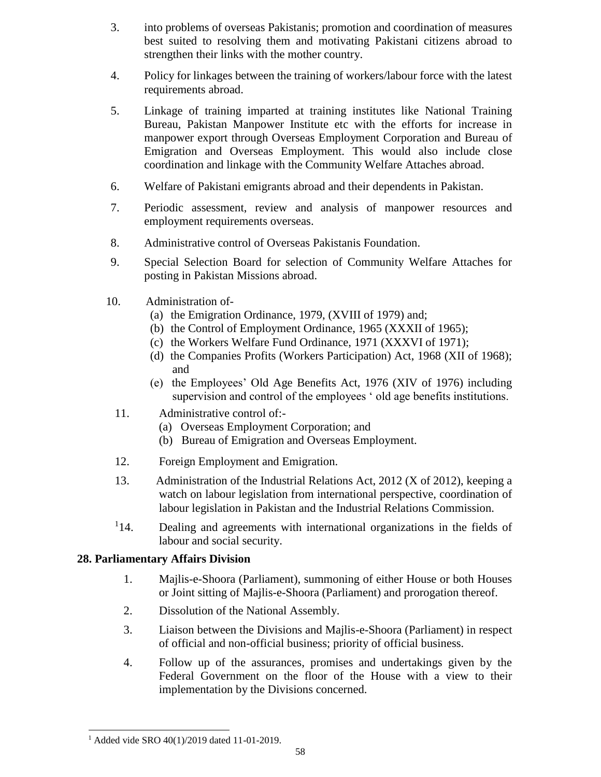## **28. Parliamentary Affairs Division**

- 1. Majlis-e-Shoora (Parliament), summoning of either House or both Houses or Joint sitting of Majlis-e-Shoora (Parliament) and prorogation thereof.
- 2. Dissolution of the National Assembly.
- 3. Liaison between the Divisions and Majlis-e-Shoora (Parliament) in respect of official and non-official business; priority of official business.
- 4. Follow up of the assurances, promises and undertakings given by the Federal Government on the floor of the House with a view to their implementation by the Divisions concerned.

l

<sup>&</sup>lt;sup>1</sup> Added vide SRO  $40(1)/2019$  dated 11-01-2019.